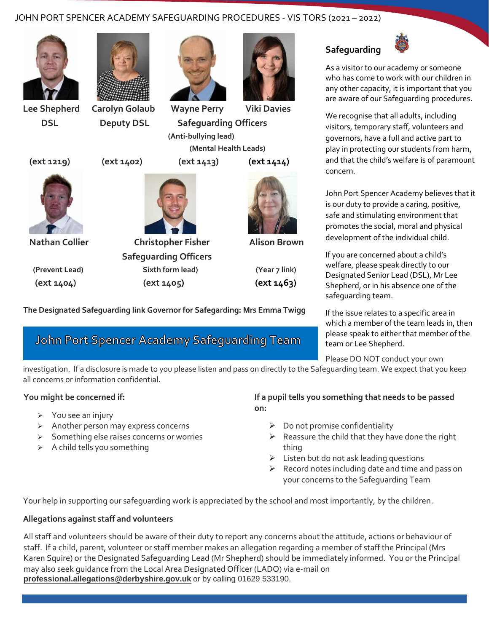## JOHN PORT SPENCER ACADEMY SAFEGUARDING PROCEDURES - VISITORS (2021 – 2022)









 **Lee Shepherd Carolyn Golaub Wayne Perry Viki Davies DSL Deputy DSL Safeguarding Officers (Anti-bullying lead) (Mental Health Leads)** 







 **Nathan Collier Christopher Fisher Alison Brown Safeguarding Officers (Prevent Lead) Sixth form lead) (Year 7 link) (ext 1404) (ext 1405) (ext 1463)** 



**The Designated Safeguarding link Governor for Safegarding: Mrs Emma Twigg**

# **John Port Spencer Academy Safeguarding Team**



As a visitor to our academy or someone who has come to work with our children in any other capacity, it is important that you are aware of our Safeguarding procedures.

We recognise that all adults, including visitors, temporary staff, volunteers and governors, have a full and active part to play in protecting our students from harm, and that the child's welfare is of paramount concern.

John Port Spencer Academy believes that it is our duty to provide a caring, positive, safe and stimulating environment that promotes the social, moral and physical development of the individual child.

If you are concerned about a child's welfare, please speak directly to our Designated Senior Lead (DSL), Mr Lee Shepherd, or in his absence one of the safeguarding team.

If the issue relates to a specific area in which a member of the team leads in, then please speak to either that member of the team or Lee Shepherd.

Please DO NOT conduct your own

investigation. If a disclosure is made to you please listen and pass on directly to the Safeguarding team. We expect that you keep all concerns or information confidential.

## **You might be concerned if:**

- ➢ You see an injury
- ➢ Another person may express concerns
- ➢ Something else raises concerns or worries
- $\triangleright$  A child tells you something
- **If a pupil tells you something that needs to be passed on:**
	- $\triangleright$  Do not promise confidentiality
	- $\triangleright$  Reassure the child that they have done the right thing
	- $\triangleright$  Listen but do not ask leading questions
	- $\triangleright$  Record notes including date and time and pass on your concerns to the Safeguarding Team

Your help in supporting our safeguarding work is appreciated by the school and most importantly, by the children.

## **Allegations against staff and volunteers**

All staff and volunteers should be aware of their duty to report any concerns about the attitude, actions or behaviour of staff. If a child, parent, volunteer or staff member makes an allegation regarding a member of staff the Principal (Mrs Karen Squire) or the Designated Safeguarding Lead (Mr Shepherd) should be immediately informed. You or the Principal may also seek guidance from the Local Area Designated Officer (LADO) via e-mail on **[professional.allegations@derbyshire.gov.uk](mailto:professional.allegations@derbyshire.gov.uk)** or by calling 01629 533190.